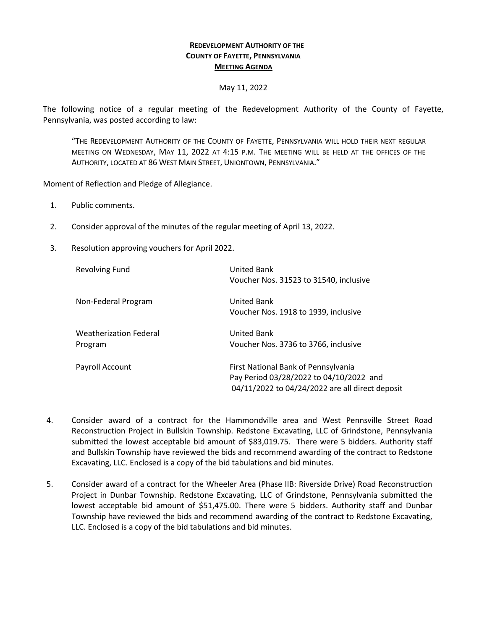## **REDEVELOPMENT AUTHORITY OF THE COUNTY OF FAYETTE, PENNSYLVANIA MEETING AGENDA**

## May 11, 2022

The following notice of a regular meeting of the Redevelopment Authority of the County of Fayette, Pennsylvania, was posted according to law:

"THE REDEVELOPMENT AUTHORITY OF THE COUNTY OF FAYETTE, PENNSYLVANIA WILL HOLD THEIR NEXT REGULAR MEETING ON WEDNESDAY, MAY 11, 2022 AT 4:15 P.M. THE MEETING WILL BE HELD AT THE OFFICES OF THE AUTHORITY, LOCATED AT 86 WEST MAIN STREET, UNIONTOWN, PENNSYLVANIA."

Moment of Reflection and Pledge of Allegiance.

- 1. Public comments.
- 2. Consider approval of the minutes of the regular meeting of April 13, 2022.
- 3. Resolution approving vouchers for April 2022.

| <b>Revolving Fund</b>                    | <b>United Bank</b><br>Voucher Nos. 31523 to 31540, inclusive                                                                      |
|------------------------------------------|-----------------------------------------------------------------------------------------------------------------------------------|
| Non-Federal Program                      | United Bank<br>Voucher Nos. 1918 to 1939, inclusive                                                                               |
| <b>Weatherization Federal</b><br>Program | <b>United Bank</b><br>Voucher Nos. 3736 to 3766, inclusive                                                                        |
| Payroll Account                          | First National Bank of Pennsylvania<br>Pay Period 03/28/2022 to 04/10/2022 and<br>04/11/2022 to 04/24/2022 are all direct deposit |

- 4. Consider award of a contract for the Hammondville area and West Pennsville Street Road Reconstruction Project in Bullskin Township. Redstone Excavating, LLC of Grindstone, Pennsylvania submitted the lowest acceptable bid amount of \$83,019.75. There were 5 bidders. Authority staff and Bullskin Township have reviewed the bids and recommend awarding of the contract to Redstone Excavating, LLC. Enclosed is a copy of the bid tabulations and bid minutes.
- 5. Consider award of a contract for the Wheeler Area (Phase IIB: Riverside Drive) Road Reconstruction Project in Dunbar Township. Redstone Excavating, LLC of Grindstone, Pennsylvania submitted the lowest acceptable bid amount of \$51,475.00. There were 5 bidders. Authority staff and Dunbar Township have reviewed the bids and recommend awarding of the contract to Redstone Excavating, LLC. Enclosed is a copy of the bid tabulations and bid minutes.